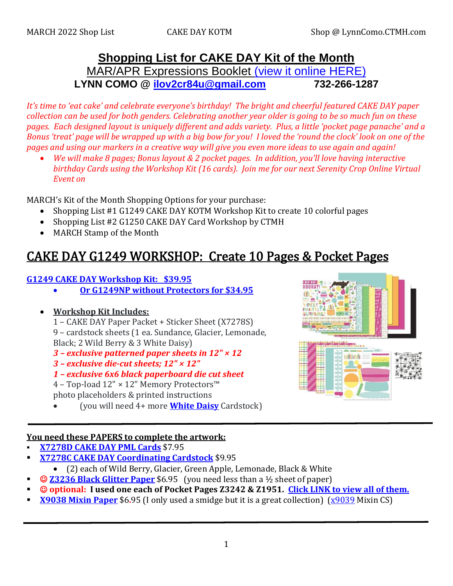# **Shopping List for CAKE DAY Kit of the Month** MAR/APR Expressions Booklet [\(view it online HERE\)](https://lynncomo.closetomyheart.com/ctmh/products/online-catalog.aspx) **LYNN COMO @ [ilov2cr84u@gmail.com](mailto:ilov2cr84u@optonline.net) 732-266-1287**

*It's time to 'eat cake' and celebrate everyone's birthday! The bright and cheerful featured CAKE DAY paper collection can be used for both genders. Celebrating another year older is going to be so much fun on these pages. Each designed layout is uniquely different and adds variety. Plus, a little 'pocket page panache' and a Bonus 'treat' page will be wrapped up with a big bow for you! I loved the 'round the clock' look on one of the pages and using our markers in a creative way will give you even more ideas to use again and again!*

• *We will make 8 pages; Bonus layout & 2 pocket pages. In addition, you'll love having interactive birthday Cards using the Workshop Kit (16 cards). Join me for our next Serenity Crop Online Virtual Event on*

MARCH's Kit of the Month Shopping Options for your purchase:

- Shopping List #1 G1249 CAKE DAY KOTM Workshop Kit to create 10 colorful pages
- Shopping List #2 G1250 CAKE DAY Card Workshop by CTMH
- MARCH Stamp of the Month

# CAK[E DAY G1249 WORKSHOP: Create 10 Page](https://lynncomo.closetomyheart.com/retail/search.aspx?searchvalue=g1249)s & Pocket Pages

### **G1249 CAKE DAY Workshop [Kit: \\$39.95](https://lynncomo.closetomyheart.com/retail/search.aspx?searchvalue=g1249)**

- **[Or G1249NP without Protectors for \\$34.95](https://lynncomo.closetomyheart.com/retail/search.aspx?searchvalue=g1249)**
- **Workshop Kit Includes:**
	- 1 CAKE DAY Paper Packet + Sticker Sheet (X7278S)

9 – cardstock sheets (1 ea. Sundance, Glacier, Lemonade, Black; 2 Wild Berry & 3 White Daisy)

- *3 – exclusive patterned paper sheets in 12" × 12*
- *3 – exclusive die-cut sheets; 12" × 12"*
- *1 – exclusive 6x6 black paperboard die cut sheet*
- 4 Top-load 12" × 12" Memory Protectors™ photo placeholders & printed instructions
- (you will need 4+ more **[White Daisy](https://lynncomo.closetomyheart.com/retail/Product.aspx?ItemID=382)** Cardstock)

# 四排面油

### **You need these PAPERS to complete the artwork:**

- **X7278D [CAKE DAY](https://lynncomo.closetomyheart.com/retail/Product.aspx?ItemID=16307) PML Cards** \$7.95
- **[X7278C CAKE DAY Coordinating Cardstock](https://lynncomo.closetomyheart.com/retail/Product.aspx?ItemID=16306)** \$9.95
	- (2) each of Wild Berry, Glacier, Green Apple, Lemonade, Black & White
- **© <u>73236 Black Glitter Paper</u>** \$6.95 (you need less than a ½ sheet of paper)
- © **optional: I used one each of Pocket Pages Z3242 & Z1951. [Click LINK to view all of them.](https://lynncomo.closetomyheart.com/retail/search.aspx?searchvalue=pocket+pages)**
- **<u>[X9038 Mixin Paper](https://lynncomo.closetomyheart.com/retail/Product.aspx?ItemID=16316)</u>** \$6.95 (I only used a smidge but it is a great collection) ( $\frac{\times 9039}{\times 9039}$  Mixin CS)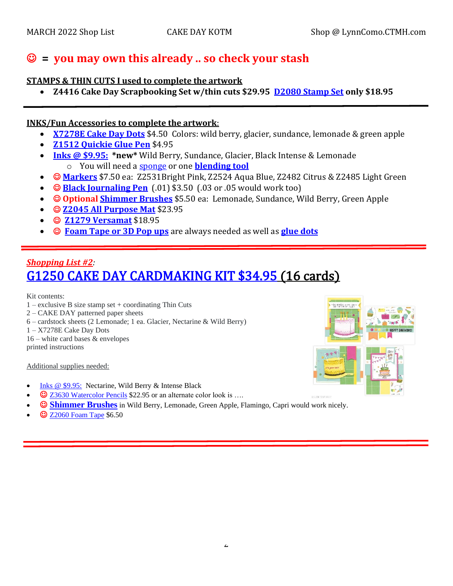# ☺ **= you may own this already .. so check your stash**

### **STAMPS & THIN CUTS I used to complete the artwork**

• **Z4416 Cake Day Scrapbooking Set w/thin cuts \$29.95 [D2080 Stamp Set](https://lynncomo.closetomyheart.com/retail/Product.aspx?ItemID=16293) only \$18.95**

### **INKS/Fun Accessories to complete the artwork**:

- **[X7278E Cake Day Dots](https://lynncomo.closetomyheart.com/retail/Product.aspx?ItemID=16308)** \$4.50 Colors: wild berry, glacier, sundance, lemonade & green apple
- **[Z1512 Quickie Glue Pen](https://lynncomo.closetomyheart.com/retail/Product.aspx?ItemID=15680)** \$4.95
- **[Inks @ \\$9.95:](https://lynncomo.closetomyheart.com/retail/Products.aspx?CatalogID=235) \*new\*** Wild Berry, Sundance, Glacier, Black Intense & Lemonade o You will need a [sponge](https://lynncomo.closetomyheart.com/retail/Product.aspx?ItemID=301) or one **[blending tool](https://lynncomo.closetomyheart.com/retail/product.aspx?itemid=14287)**
- ☺ **[Markers](https://lynncomo.closetomyheart.com/retail/Products.aspx?CatalogID=237)** \$7.50 ea: Z2531Bright Pink, Z2524 Aqua Blue, Z2482 Citrus & Z2485 Light Green
- ☺ **[Black Journaling Pen](https://lynncomo.closetomyheart.com/retail/search.aspx?searchvalue=black+pen)** (.01) \$3.50 (.03 or .05 would work too)
- ☺ **Optional [Shimmer Brushes](https://lynncomo.closetomyheart.com/retail/search.aspx?searchvalue=shimmer+brushes)** \$5.50 ea: Lemonade, Sundance, Wild Berry, Green Apple
- ☺ **[Z2045 All Purpose Mat](https://lynncomo.closetomyheart.com/retail/Product.aspx?ItemID=8035)** \$23.95
- ☺ **[Z1279 Versamat](https://lynncomo.closetomyheart.com/retail/Product.aspx?ItemID=3385)** \$18.95
- ☺ **[Foam Tape or 3D Pop ups](https://lynncomo.closetomyheart.com/retail/search.aspx?searchvalue=foam+tape)** are always needed as well as **[glue dots](https://lynncomo.closetomyheart.com/retail/search.aspx?searchvalue=glue+dots)**

# *Shopping List #2:*  [G1250 CAKE DAY CARDMAKING KIT \\$34.95](https://lynncomo.closetomyheart.com/retail/Product.aspx?ItemID=16112) (16 cards)

Kit contents:

- $1 -$  exclusive B size stamp set  $+$  coordinating Thin Cuts
- 2 CAKE DAY patterned paper sheets
- 6 cardstock sheets (2 Lemonade; 1 ea. Glacier, Nectarine & Wild Berry)
- 1 X7278E Cake Day Dots
- 16 white card bases & envelopes printed instructions

Additional supplies needed:

- [Inks @ \\$9.95:](https://lynncomo.closetomyheart.com/retail/Products.aspx?CatalogID=235) Nectarine, Wild Berry & Intense Black
- ☺ [Z3630 Watercolor Pencils](https://lynncomo.closetomyheart.com/retail/search.aspx?searchvalue=watercolor+pencils) \$22.95 or an alternate color look is ….
- $\bullet$  **[Shimmer Brushes](https://lynncomo.closetomyheart.com/retail/search.aspx?searchvalue=shimmer+brushes)** in Wild Berry, Lemonade, Green Apple, Flamingo, Capri would work nicely.
- © [Z2060 Foam Tape](https://lynncomo.closetomyheart.com/retail/search.aspx?searchvalue=z2060) \$6.50